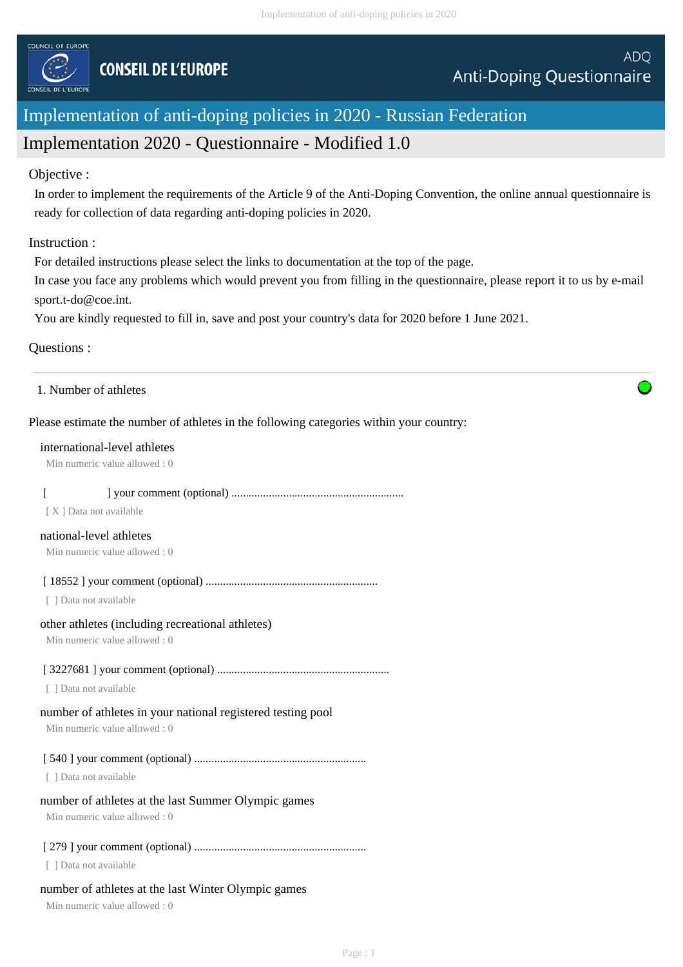

# Implementation of anti-doping policies in 2020 - Russian Federation

# Implementation 2020 - Questionnaire - Modified 1.0

# Objective :

In order to implement the requirements of the Article 9 of the Anti-Doping Convention, the online annual questionnaire is ready for collection of data regarding anti-doping policies in 2020.

# Instruction :

For detailed instructions please select the links to documentation at the top of the page.

In case you face any problems which would prevent you from filling in the questionnaire, please report it to us by e-mail sport.t-do@coe.int.

You are kindly requested to fill in, save and post your country's data for 2020 before 1 June 2021.

# Questions :

|  | 1. Number of athletes |
|--|-----------------------|
|--|-----------------------|

# Please estimate the number of athletes in the following categories within your country:

#### international-level athletes

Min numeric value allowed : 0

# [ ] your comment (optional) ............................................................

[ X ] Data not available

#### national-level athletes

Min numeric value allowed : 0

# [ 18552 ] your comment (optional) ............................................................

[ ] Data not available

# other athletes (including recreational athletes)

Min numeric value allowed : 0

# [ 3227681 ] your comment (optional) ............................................................

[ ] Data not available

# number of athletes in your national registered testing pool

Min numeric value allowed : 0

# [ 540 ] your comment (optional) ............................................................

[ ] Data not available

# number of athletes at the last Summer Olympic games

Min numeric value allowed : 0

# [ 279 ] your comment (optional) ............................................................

[ ] Data not available

# number of athletes at the last Winter Olympic games

Min numeric value allowed : 0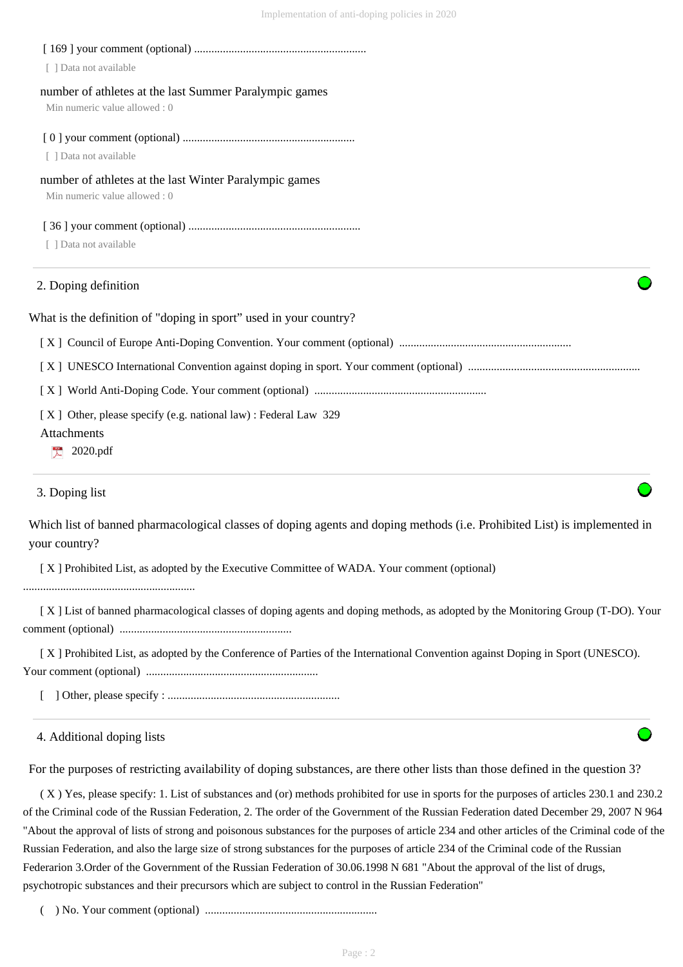| Data not available                                                                     |  |
|----------------------------------------------------------------------------------------|--|
| number of athletes at the last Summer Paralympic games<br>Min numeric value allowed: 0 |  |
|                                                                                        |  |
| [ ] Data not available                                                                 |  |
| number of athletes at the last Winter Paralympic games<br>Min numeric value allowed: 0 |  |
|                                                                                        |  |
| Data not available                                                                     |  |
| 2. Doping definition                                                                   |  |
| What is the definition of "doping in sport" used in your country?                      |  |
|                                                                                        |  |
|                                                                                        |  |
|                                                                                        |  |
| [X] Other, please specify (e.g. national law) : Federal Law 329                        |  |
| Attachments                                                                            |  |
| 2020.pdf                                                                               |  |
| 3. Doping list                                                                         |  |

Which list of banned pharmacological classes of doping agents and doping methods (i.e. Prohibited List) is implemented in your country?

[ X ] Prohibited List, as adopted by the Executive Committee of WADA. Your comment (optional)

............................................................

 [ X ] List of banned pharmacological classes of doping agents and doping methods, as adopted by the Monitoring Group (T-DO). Your comment (optional) ............................................................

 [ X ] Prohibited List, as adopted by the Conference of Parties of the International Convention against Doping in Sport (UNESCO). Your comment (optional) ............................................................

[ ] Other, please specify : ............................................................

4. Additional doping lists

For the purposes of restricting availability of doping substances, are there other lists than those defined in the question 3?

 ( X ) Yes, please specify: 1. List of substances and (or) methods prohibited for use in sports for the purposes of articles 230.1 and 230.2 of the Criminal code of the Russian Federation, 2. The order of the Government of the Russian Federation dated December 29, 2007 N 964 "About the approval of lists of strong and poisonous substances for the purposes of article 234 and other articles of the Criminal code of the Russian Federation, and also the large size of strong substances for the purposes of article 234 of the Criminal code of the Russian Federarion 3.Order of the Government of the Russian Federation of 30.06.1998 N 681 "About the approval of the list of drugs, psychotropic substances and their precursors which are subject to control in the Russian Federation"

( ) No. Your comment (optional) ............................................................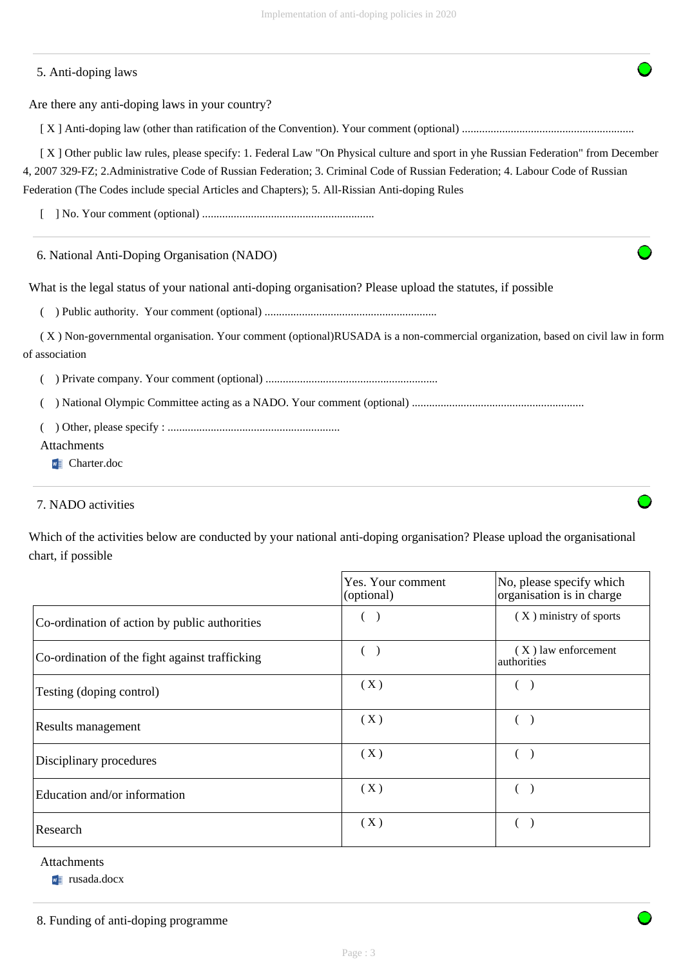| 5. Anti-doping laws                                                                                                                                                                                                                                                   |
|-----------------------------------------------------------------------------------------------------------------------------------------------------------------------------------------------------------------------------------------------------------------------|
| Are there any anti-doping laws in your country?                                                                                                                                                                                                                       |
|                                                                                                                                                                                                                                                                       |
| [X] Other public law rules, please specify: 1. Federal Law "On Physical culture and sport in yhe Russian Federation" from December<br>4, 2007 329-FZ; 2. Administrative Code of Russian Federation; 3. Criminal Code of Russian Federation; 4. Labour Code of Russian |
| Federation (The Codes include special Articles and Chapters); 5. All-Rissian Anti-doping Rules                                                                                                                                                                        |
|                                                                                                                                                                                                                                                                       |
| 6. National Anti-Doping Organisation (NADO)                                                                                                                                                                                                                           |
| What is the legal status of your national anti-doping organisation? Please upload the statures, if possible                                                                                                                                                           |
|                                                                                                                                                                                                                                                                       |
| (X) Non-governmental organisation. Your comment (optional)RUSADA is a non-commercial organization, based on civil law in form<br>of association                                                                                                                       |
|                                                                                                                                                                                                                                                                       |
|                                                                                                                                                                                                                                                                       |
| Attachments                                                                                                                                                                                                                                                           |

**W** Charter.doc

# 7. NADO activities

Which of the activities below are conducted by your national anti-doping organisation? Please upload the organisational chart, if possible

|                                                | Yes. Your comment<br>(optional) | No, please specify which<br>organisation is in charge |
|------------------------------------------------|---------------------------------|-------------------------------------------------------|
| Co-ordination of action by public authorities  |                                 | $(X)$ ministry of sports                              |
| Co-ordination of the fight against trafficking |                                 | $(X)$ law enforcement<br>authorities                  |
| Testing (doping control)                       | (X)                             |                                                       |
| Results management                             | (X)                             |                                                       |
| Disciplinary procedures                        | (X)                             |                                                       |
| Education and/or information                   | (X)                             |                                                       |
| Research                                       | (X)                             |                                                       |

# Attachments

**w** rusada.docx

8. Funding of anti-doping programme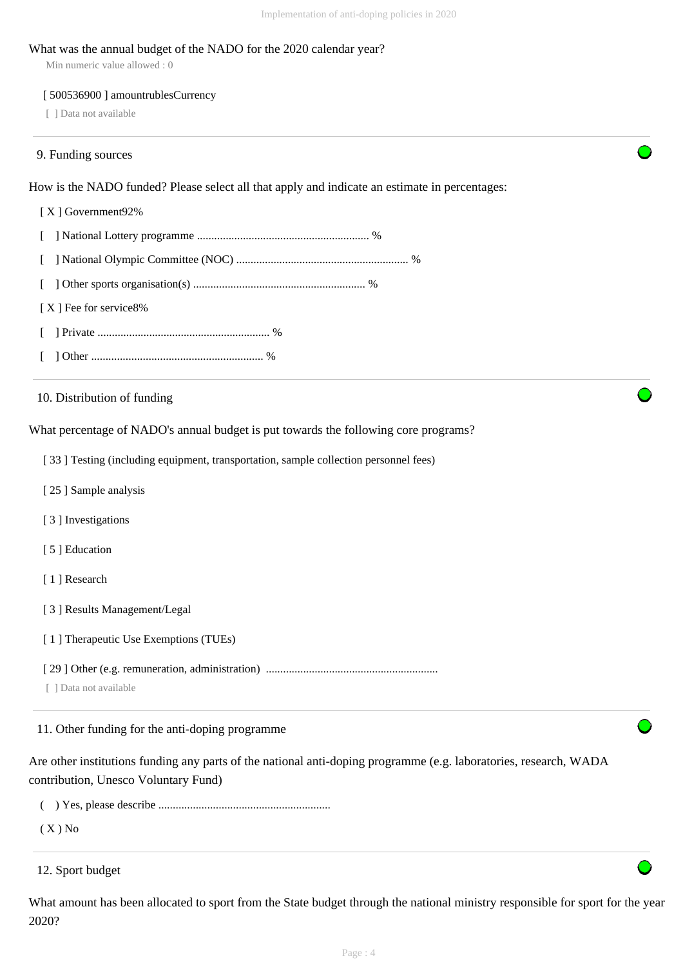#### What was the annual budget of the NADO for the 2020 calendar year?

Min numeric value allowed : 0

#### [ 500536900 ] amountrublesCurrency

[ ] Data not available

#### 9. Funding sources

How is the NADO funded? Please select all that apply and indicate an estimate in percentages:

#### [ X ] Government92%

[ ] National Lottery programme ............................................................ %

- [ ] National Olympic Committee (NOC) ............................................................ %
- [ ] Other sports organisation(s) ............................................................ %
- [X ] Fee for service8%
- [ ] Private ............................................................ %
- [ ] Other ............................................................ %

10. Distribution of funding

What percentage of NADO's annual budget is put towards the following core programs?

[ 33 ] Testing (including equipment, transportation, sample collection personnel fees)

- [ 25 ] Sample analysis
- [ 3 ] Investigations
- [ 5 ] Education
- [1] Research
- [ 3 ] Results Management/Legal
- [ 1 ] Therapeutic Use Exemptions (TUEs)
- [ 29 ] Other (e.g. remuneration, administration) ............................................................
- [ ] Data not available

11. Other funding for the anti-doping programme

Are other institutions funding any parts of the national anti-doping programme (e.g. laboratories, research, WADA contribution, Unesco Voluntary Fund)

- ( ) Yes, please describe ............................................................
- $(X)$  No

What amount has been allocated to sport from the State budget through the national ministry responsible for sport for the year 2020?

<sup>12.</sup> Sport budget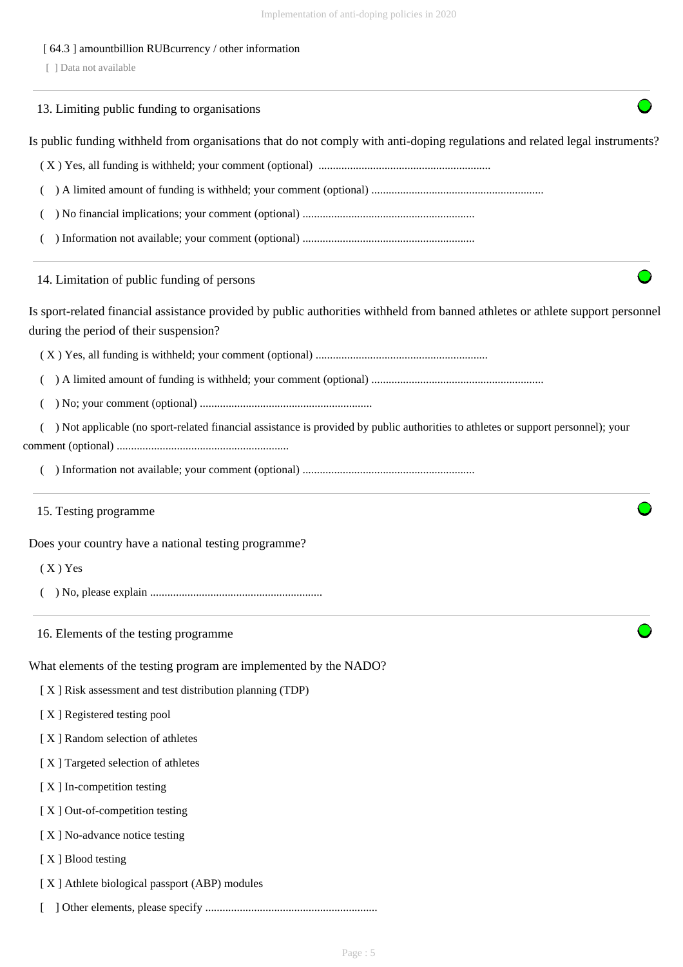# [ 64.3 ] amountbillion RUBcurrency / other information

[ ] Data not available

|                   | 13. Limiting public funding to organisations                                                                                                                              |
|-------------------|---------------------------------------------------------------------------------------------------------------------------------------------------------------------------|
|                   | Is public funding withheld from organisations that do not comply with anti-doping regulations and related legal instruments?                                              |
|                   |                                                                                                                                                                           |
|                   |                                                                                                                                                                           |
|                   |                                                                                                                                                                           |
|                   |                                                                                                                                                                           |
|                   | 14. Limitation of public funding of persons                                                                                                                               |
|                   | Is sport-related financial assistance provided by public authorities withheld from banned athletes or athlete support personnel<br>during the period of their suspension? |
|                   |                                                                                                                                                                           |
|                   |                                                                                                                                                                           |
|                   |                                                                                                                                                                           |
|                   | ) Not applicable (no sport-related financial assistance is provided by public authorities to athletes or support personnel); your                                         |
|                   |                                                                                                                                                                           |
|                   | 15. Testing programme                                                                                                                                                     |
|                   | Does your country have a national testing programme?                                                                                                                      |
| $(X)$ Yes         |                                                                                                                                                                           |
|                   |                                                                                                                                                                           |
|                   | 16. Elements of the testing programme                                                                                                                                     |
|                   | What elements of the testing program are implemented by the NADO?                                                                                                         |
|                   | [X] Risk assessment and test distribution planning (TDP)                                                                                                                  |
|                   | [X] Registered testing pool                                                                                                                                               |
|                   | [X] Random selection of athletes                                                                                                                                          |
|                   | [X] Targeted selection of athletes                                                                                                                                        |
|                   | [X] In-competition testing                                                                                                                                                |
|                   | [X] Out-of-competition testing                                                                                                                                            |
|                   | [X] No-advance notice testing                                                                                                                                             |
| [X] Blood testing |                                                                                                                                                                           |
|                   | [X] Athlete biological passport (ABP) modules                                                                                                                             |
|                   |                                                                                                                                                                           |
|                   |                                                                                                                                                                           |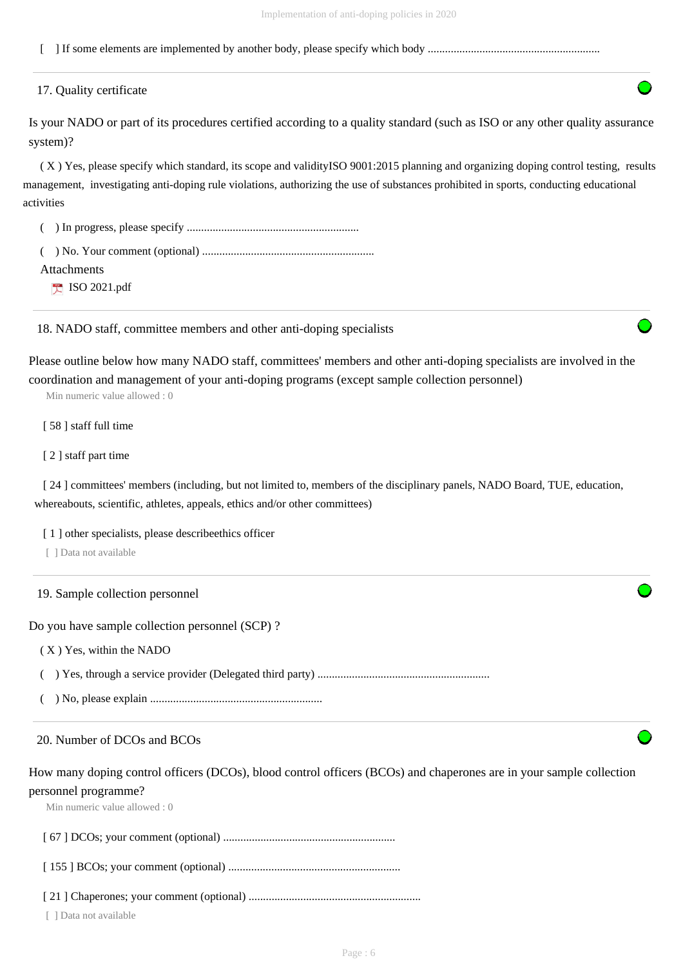[ ] If some elements are implemented by another body, please specify which body ............................................................

#### 17. Quality certificate

Is your NADO or part of its procedures certified according to a quality standard (such as ISO or any other quality assurance system)?

 ( X ) Yes, please specify which standard, its scope and validityISO 9001:2015 planning and organizing doping control testing, results management, investigating anti-doping rule violations, authorizing the use of substances prohibited in sports, conducting educational activities

( ) In progress, please specify ............................................................

 ( ) No. Your comment (optional) ............................................................ Attachments

**ISO 2021.pdf** 

18. NADO staff, committee members and other anti-doping specialists

Please outline below how many NADO staff, committees' members and other anti-doping specialists are involved in the coordination and management of your anti-doping programs (except sample collection personnel)

Min numeric value allowed : 0

[ 58 ] staff full time

[ 2 ] staff part time

[ 24 ] committees' members (including, but not limited to, members of the disciplinary panels, NADO Board, TUE, education, whereabouts, scientific, athletes, appeals, ethics and/or other committees)

[1] other specialists, please describeethics officer

[ ] Data not available

19. Sample collection personnel

Do you have sample collection personnel (SCP) ?

( X ) Yes, within the NADO

( ) Yes, through a service provider (Delegated third party) ............................................................

( ) No, please explain ............................................................

#### 20. Number of DCOs and BCOs

How many doping control officers (DCOs), blood control officers (BCOs) and chaperones are in your sample collection personnel programme?

Min numeric value allowed : 0

[ 67 ] DCOs; your comment (optional) ............................................................

[ 155 ] BCOs; your comment (optional) ............................................................

[ 21 ] Chaperones; your comment (optional) ............................................................

[ ] Data not available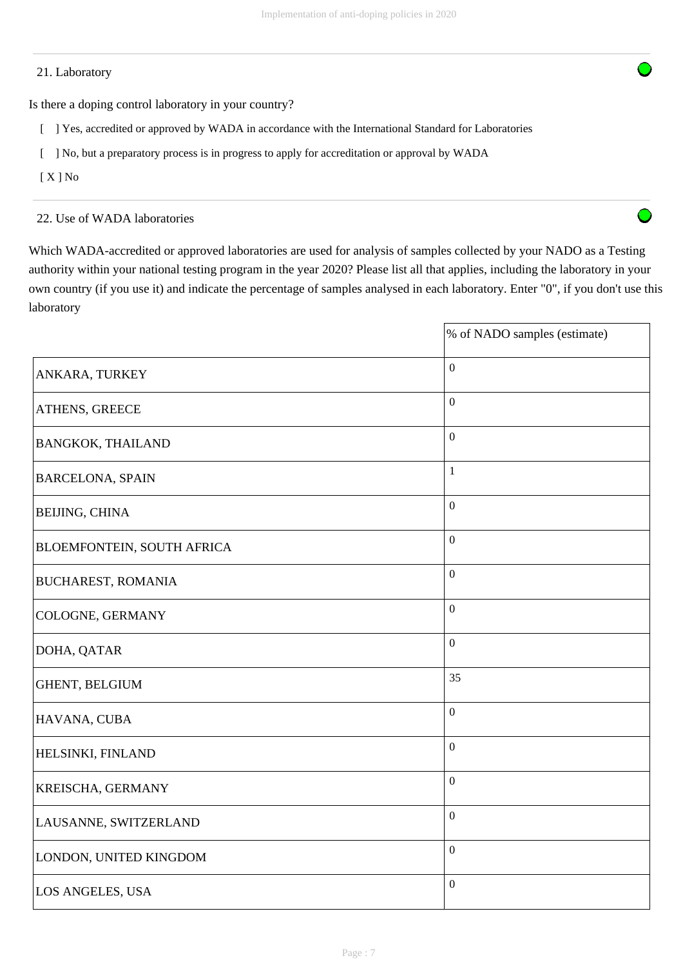# 21. Laboratory

Is there a doping control laboratory in your country?

- [ ] Yes, accredited or approved by WADA in accordance with the International Standard for Laboratories
- [ ] No, but a preparatory process is in progress to apply for accreditation or approval by WADA
- $[X]$  No

22. Use of WADA laboratories

Which WADA-accredited or approved laboratories are used for analysis of samples collected by your NADO as a Testing authority within your national testing program in the year 2020? Please list all that applies, including the laboratory in your own country (if you use it) and indicate the percentage of samples analysed in each laboratory. Enter "0", if you don't use this laboratory

O

|                                   | % of NADO samples (estimate) |
|-----------------------------------|------------------------------|
| ANKARA, TURKEY                    | $\boldsymbol{0}$             |
| ATHENS, GREECE                    | $\mathbf{0}$                 |
| <b>BANGKOK, THAILAND</b>          | $\boldsymbol{0}$             |
| <b>BARCELONA, SPAIN</b>           | $\mathbf{1}$                 |
| <b>BEIJING, CHINA</b>             | $\mathbf{0}$                 |
| <b>BLOEMFONTEIN, SOUTH AFRICA</b> | $\mathbf{0}$                 |
| <b>BUCHAREST, ROMANIA</b>         | $\overline{0}$               |
| COLOGNE, GERMANY                  | $\boldsymbol{0}$             |
| DOHA, QATAR                       | $\overline{0}$               |
| GHENT, BELGIUM                    | 35                           |
| HAVANA, CUBA                      | $\boldsymbol{0}$             |
| HELSINKI, FINLAND                 | $\overline{0}$               |
| KREISCHA, GERMANY                 | $\boldsymbol{0}$             |
| LAUSANNE, SWITZERLAND             | $\boldsymbol{0}$             |
| LONDON, UNITED KINGDOM            | $\boldsymbol{0}$             |
| LOS ANGELES, USA                  | $\overline{0}$               |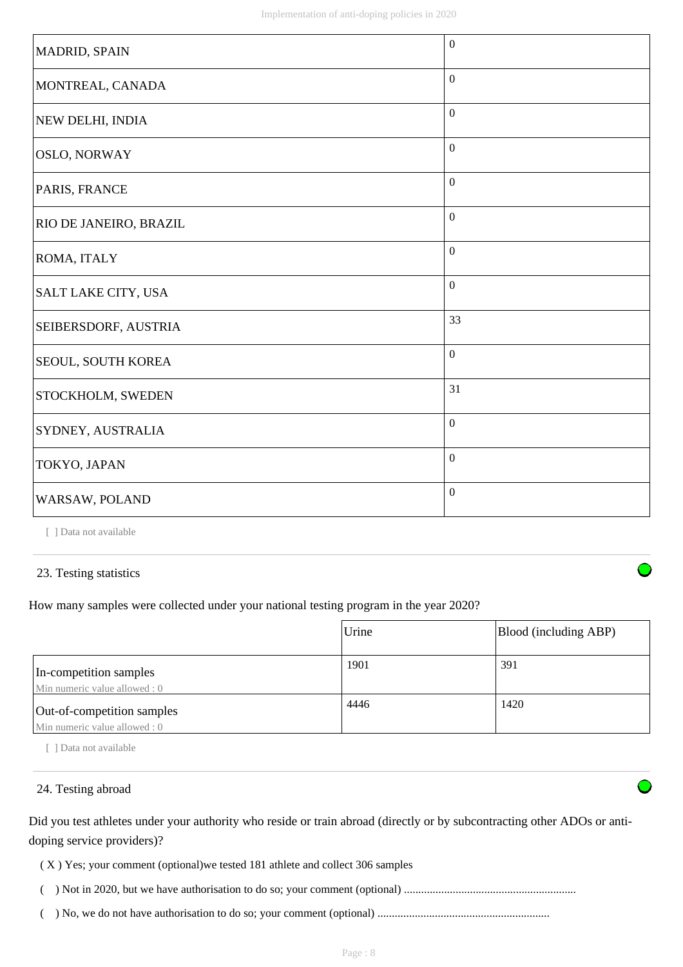| MADRID, SPAIN             | $\boldsymbol{0}$ |
|---------------------------|------------------|
| MONTREAL, CANADA          | $\boldsymbol{0}$ |
| NEW DELHI, INDIA          | $\boldsymbol{0}$ |
| <b>OSLO, NORWAY</b>       | $\boldsymbol{0}$ |
| PARIS, FRANCE             | $\boldsymbol{0}$ |
| RIO DE JANEIRO, BRAZIL    | $\boldsymbol{0}$ |
| ROMA, ITALY               | $\mathbf{0}$     |
| SALT LAKE CITY, USA       | $\mathbf{0}$     |
| SEIBERSDORF, AUSTRIA      | 33               |
| <b>SEOUL, SOUTH KOREA</b> | $\boldsymbol{0}$ |
| STOCKHOLM, SWEDEN         | 31               |
| SYDNEY, AUSTRALIA         | $\mathbf{0}$     |
| TOKYO, JAPAN              | $\boldsymbol{0}$ |
| WARSAW, POLAND            | $\boldsymbol{0}$ |

[ ] Data not available

# 23. Testing statistics

How many samples were collected under your national testing program in the year 2020?

|                                                             | Urine | Blood (including ABP) |
|-------------------------------------------------------------|-------|-----------------------|
| In-competition samples<br>Min numeric value allowed: 0      | 1901  | 391                   |
| Out-of-competition samples<br>Min numeric value allowed : 0 | 4446  | 1420                  |

[ ] Data not available

# 24. Testing abroad

Did you test athletes under your authority who reside or train abroad (directly or by subcontracting other ADOs or antidoping service providers)?

( X ) Yes; your comment (optional)we tested 181 athlete and collect 306 samples

( ) Not in 2020, but we have authorisation to do so; your comment (optional) ............................................................

( ) No, we do not have authorisation to do so; your comment (optional) ............................................................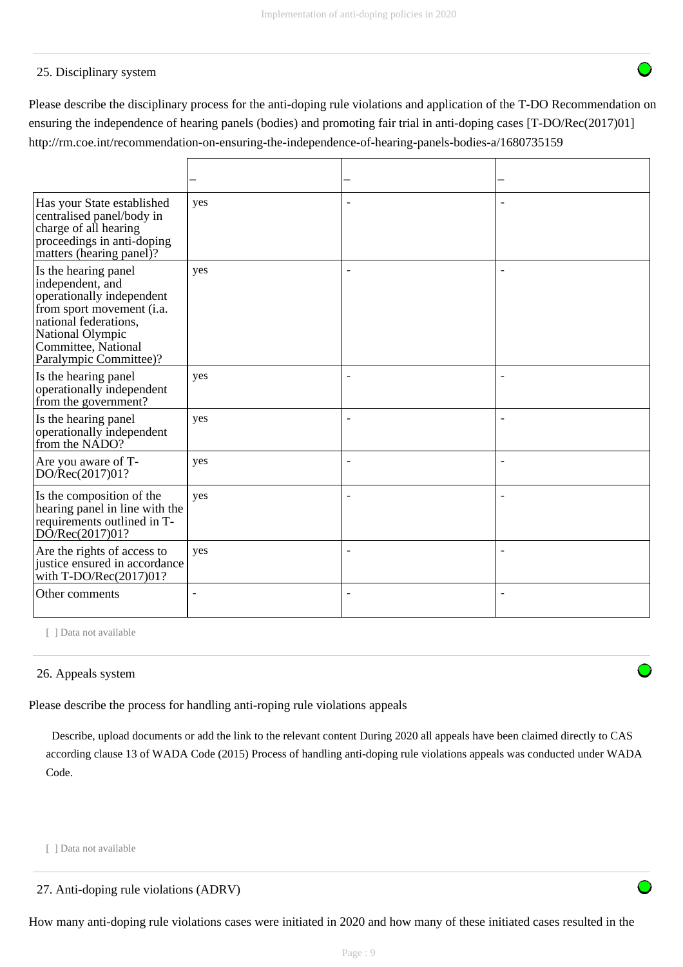# 25. Disciplinary system

Please describe the disciplinary process for the anti-doping rule violations and application of the T-DO Recommendation on ensuring the independence of hearing panels (bodies) and promoting fair trial in anti-doping cases [T-DO/Rec(2017)01] http://rm.coe.int/recommendation-on-ensuring-the-independence-of-hearing-panels-bodies-a/1680735159

| Has your State established<br>centralised panel/body in<br>charge of all hearing<br>proceedings in anti-doping<br>matters (hearing panel)?                                                       | yes            |                |  |
|--------------------------------------------------------------------------------------------------------------------------------------------------------------------------------------------------|----------------|----------------|--|
| Is the hearing panel<br>independent, and<br>operationally independent<br>from sport movement (i.a.<br>national federations.<br>National Olympic<br>Committee, National<br>Paralympic Committee)? | yes            |                |  |
| Is the hearing panel<br>operationally independent<br>from the government?                                                                                                                        | yes            |                |  |
| Is the hearing panel<br>operationally independent<br>from the NADO?                                                                                                                              | yes            | $\overline{a}$ |  |
| Are you aware of T-<br>DO/Rec(2017)01?                                                                                                                                                           | yes            | ÷              |  |
| Is the composition of the<br>hearing panel in line with the<br>requirements outlined in T-<br>DO/Rec(2017)01?                                                                                    | yes            |                |  |
| Are the rights of access to<br>justice ensured in accordance<br>with T-DO/Rec(2017)01?                                                                                                           | yes            |                |  |
| Other comments                                                                                                                                                                                   | $\blacksquare$ | $\overline{a}$ |  |

[ ] Data not available

# 26. Appeals system

Please describe the process for handling anti-roping rule violations appeals

 Describe, upload documents or add the link to the relevant content During 2020 all appeals have been claimed directly to CAS according clause 13 of WADA Code (2015) Process of handling anti-doping rule violations appeals was conducted under WADA Code.

[ ] Data not available

How many anti-doping rule violations cases were initiated in 2020 and how many of these initiated cases resulted in the

<sup>27.</sup> Anti-doping rule violations (ADRV)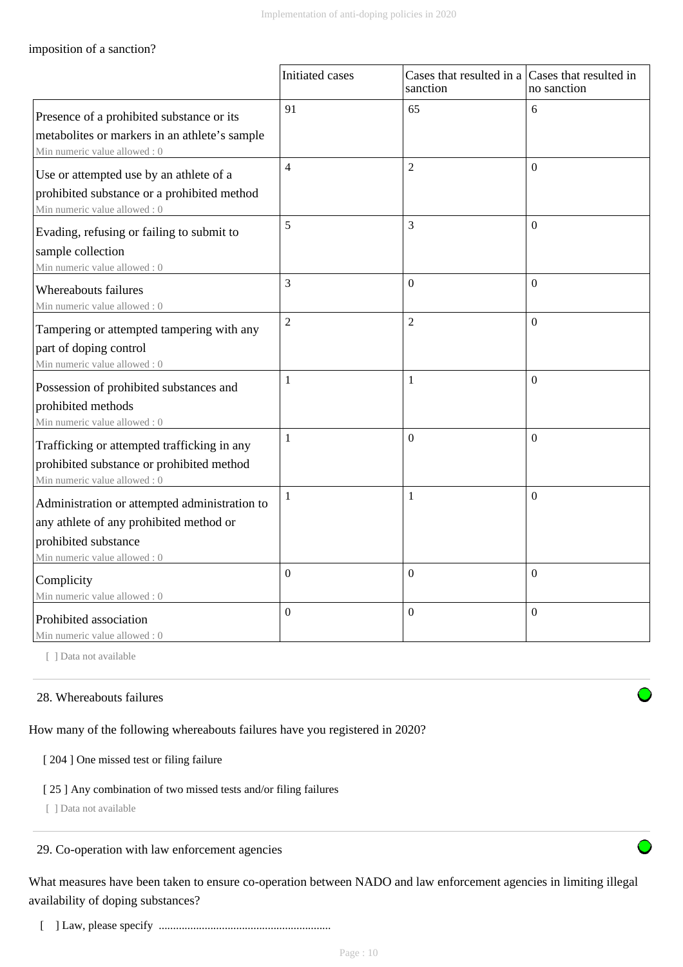# imposition of a sanction?

|                                                                                                                                                  | Initiated cases | Cases that resulted in a Cases that resulted in<br>sanction | no sanction      |
|--------------------------------------------------------------------------------------------------------------------------------------------------|-----------------|-------------------------------------------------------------|------------------|
| Presence of a prohibited substance or its<br>metabolites or markers in an athlete's sample<br>Min numeric value allowed: 0                       | 91              | 65                                                          | 6                |
| Use or attempted use by an athlete of a<br>prohibited substance or a prohibited method<br>Min numeric value allowed: 0                           | $\overline{4}$  | $\overline{2}$                                              | $\theta$         |
| Evading, refusing or failing to submit to<br>sample collection<br>Min numeric value allowed: 0                                                   | 5               | 3                                                           | $\theta$         |
| Whereabouts failures<br>Min numeric value allowed : 0                                                                                            | 3               | $\Omega$                                                    | $\theta$         |
| Tampering or attempted tampering with any<br>part of doping control<br>Min numeric value allowed: 0                                              | $\overline{2}$  | $\overline{2}$                                              | $\theta$         |
| Possession of prohibited substances and<br>prohibited methods<br>Min numeric value allowed: 0                                                    | 1               | $\mathbf{1}$                                                | $\theta$         |
| Trafficking or attempted trafficking in any<br>prohibited substance or prohibited method<br>Min numeric value allowed: 0                         | 1               | $\mathbf{0}$                                                | $\theta$         |
| Administration or attempted administration to<br>any athlete of any prohibited method or<br>prohibited substance<br>Min numeric value allowed: 0 | 1               | $\mathbf{1}$                                                | $\boldsymbol{0}$ |
| Complicity<br>Min numeric value allowed: 0                                                                                                       | $\overline{0}$  | $\overline{0}$                                              | $\overline{0}$   |
| Prohibited association<br>Min numeric value allowed: 0                                                                                           | $\overline{0}$  | $\overline{0}$                                              | $\Omega$         |

[ ] Data not available

# 28. Whereabouts failures

How many of the following whereabouts failures have you registered in 2020?

[ 204 ] One missed test or filing failure

#### [ 25 ] Any combination of two missed tests and/or filing failures

[ ] Data not available

# 29. Co-operation with law enforcement agencies

What measures have been taken to ensure co-operation between NADO and law enforcement agencies in limiting illegal availability of doping substances?

[ ] Law, please specify ............................................................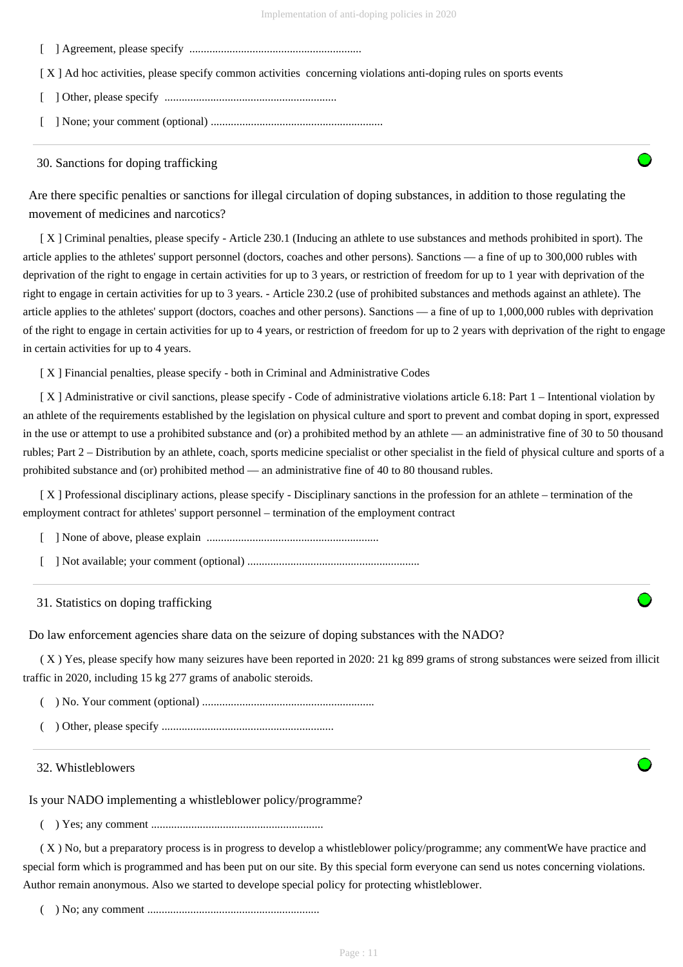[ ] Agreement, please specify ............................................................

[X] Ad hoc activities, please specify common activities concerning violations anti-doping rules on sports events

[ ] Other, please specify ............................................................

[ ] None; your comment (optional) ............................................................

#### 30. Sanctions for doping trafficking

Are there specific penalties or sanctions for illegal circulation of doping substances, in addition to those regulating the movement of medicines and narcotics?

 [ X ] Criminal penalties, please specify - Article 230.1 (Inducing an athlete to use substances and methods prohibited in sport). The article applies to the athletes' support personnel (doctors, coaches and other persons). Sanctions — a fine of up to 300,000 rubles with deprivation of the right to engage in certain activities for up to 3 years, or restriction of freedom for up to 1 year with deprivation of the right to engage in certain activities for up to 3 years. - Article 230.2 (use of prohibited substances and methods against an athlete). The article applies to the athletes' support (doctors, coaches and other persons). Sanctions — a fine of up to 1,000,000 rubles with deprivation of the right to engage in certain activities for up to 4 years, or restriction of freedom for up to 2 years with deprivation of the right to engage in certain activities for up to 4 years.

[ X ] Financial penalties, please specify - both in Criminal and Administrative Codes

[X] Administrative or civil sanctions, please specify - Code of administrative violations article 6.18: Part 1 – Intentional violation by an athlete of the requirements established by the legislation on physical culture and sport to prevent and combat doping in sport, expressed in the use or attempt to use a prohibited substance and (or) a prohibited method by an athlete — an administrative fine of 30 to 50 thousand rubles; Part 2 – Distribution by an athlete, coach, sports medicine specialist or other specialist in the field of physical culture and sports of a prohibited substance and (or) prohibited method — an administrative fine of 40 to 80 thousand rubles.

 [ X ] Professional disciplinary actions, please specify - Disciplinary sanctions in the profession for an athlete – termination of the employment contract for athletes' support personnel – termination of the employment contract

[ ] None of above, please explain ............................................................

[ ] Not available; your comment (optional) ............................................................

#### 31. Statistics on doping trafficking

Do law enforcement agencies share data on the seizure of doping substances with the NADO?

 ( X ) Yes, please specify how many seizures have been reported in 2020: 21 kg 899 grams of strong substances were seized from illicit traffic in 2020, including 15 kg 277 grams of anabolic steroids.

( ) No. Your comment (optional) ............................................................

( ) Other, please specify ............................................................

#### 32. Whistleblowers

Is your NADO implementing a whistleblower policy/programme?

( ) Yes; any comment ............................................................

 ( X ) No, but a preparatory process is in progress to develop a whistleblower policy/programme; any commentWe have practice and special form which is programmed and has been put on our site. By this special form everyone can send us notes concerning violations. Author remain anonymous. Also we started to develope special policy for protecting whistleblower.

( ) No; any comment ............................................................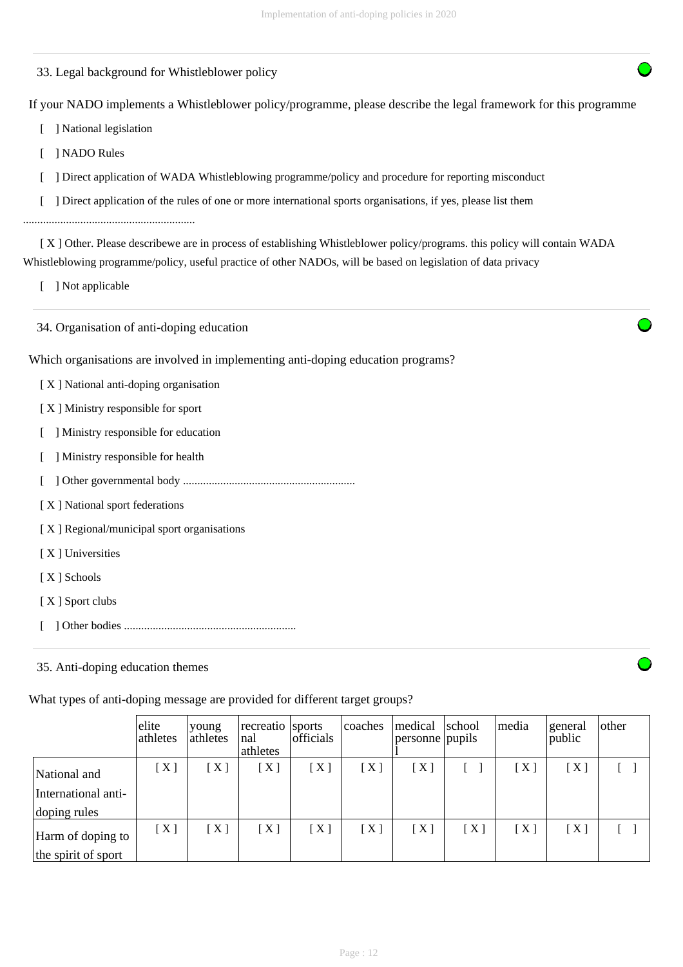33. Legal background for Whistleblower policy

If your NADO implements a Whistleblower policy/programme, please describe the legal framework for this programme

- [ ] National legislation
- [ ] NADO Rules
- [ ] Direct application of WADA Whistleblowing programme/policy and procedure for reporting misconduct
- [ ] Direct application of the rules of one or more international sports organisations, if yes, please list them

............................................................

 [ X ] Other. Please describewe are in process of establishing Whistleblower policy/programs. this policy will contain WADA Whistleblowing programme/policy, useful practice of other NADOs, will be based on legislation of data privacy

[ ] Not applicable

34. Organisation of anti-doping education

Which organisations are involved in implementing anti-doping education programs?

- [ X ] National anti-doping organisation
- [ X ] Ministry responsible for sport
- [ ] Ministry responsible for education
- [ ] Ministry responsible for health
- [ ] Other governmental body ............................................................
- [ X ] National sport federations

[ X ] Regional/municipal sport organisations

- [X] Universities
- [ X ] Schools
- [X ] Sport clubs
- [ ] Other bodies ............................................................

35. Anti-doping education themes

What types of anti-doping message are provided for different target groups?

|                     | elite<br>athletes | young<br>athletes | recreatio sports<br>nal<br>athletes | officials        | coaches | medical<br>personne pupils | school | media | general<br>public | other |
|---------------------|-------------------|-------------------|-------------------------------------|------------------|---------|----------------------------|--------|-------|-------------------|-------|
| National and        | $[~\mathrm{X}~]$  | [X]               | $\lceil$ X ]                        | [X]              | [X]     | [X]                        |        | $X$ ] | [X]               |       |
| International anti- |                   |                   |                                     |                  |         |                            |        |       |                   |       |
| doping rules        |                   |                   |                                     |                  |         |                            |        |       |                   |       |
| Harm of doping to   | [X]               | [X]               | [X]                                 | $[~\mathrm{X}~]$ | [X]     | [X]                        | [X]    | $X$ ] | [X]               |       |
| the spirit of sport |                   |                   |                                     |                  |         |                            |        |       |                   |       |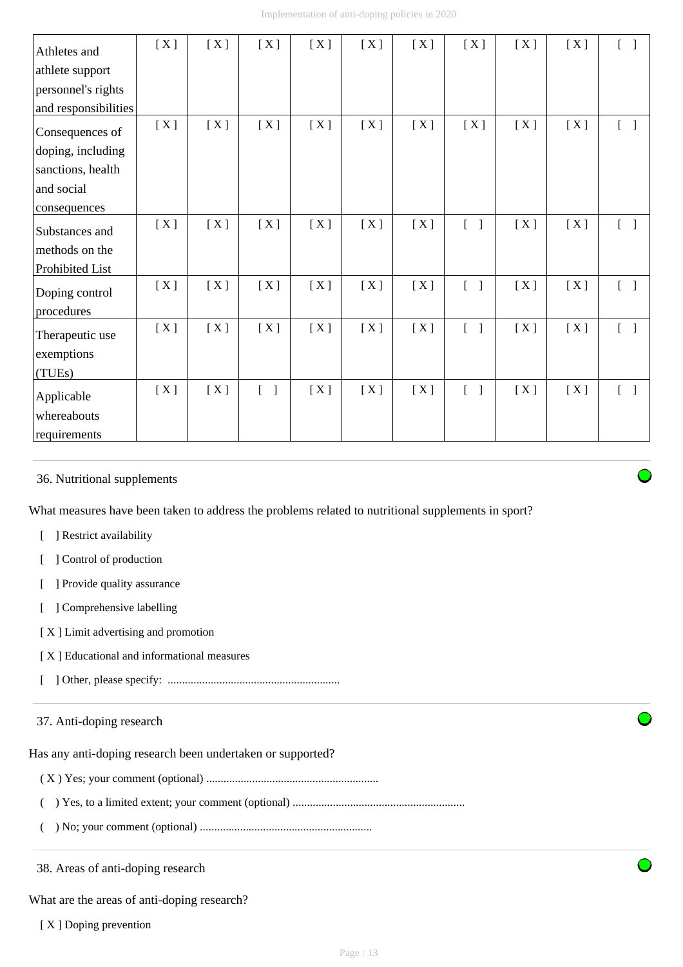| Athletes and         | [X] | [X] | [X]                               | [X] | [X] | [X] | [X]                               | [X] | [X] | $\begin{bmatrix} 1 \end{bmatrix}$ |
|----------------------|-----|-----|-----------------------------------|-----|-----|-----|-----------------------------------|-----|-----|-----------------------------------|
| athlete support      |     |     |                                   |     |     |     |                                   |     |     |                                   |
| personnel's rights   |     |     |                                   |     |     |     |                                   |     |     |                                   |
| and responsibilities |     |     |                                   |     |     |     |                                   |     |     |                                   |
| Consequences of      | [X] | [X] | [X]                               | [X] | [X] | [X] | [X]                               | [X] | [X] | $[\quad]$                         |
| doping, including    |     |     |                                   |     |     |     |                                   |     |     |                                   |
| sanctions, health    |     |     |                                   |     |     |     |                                   |     |     |                                   |
| and social           |     |     |                                   |     |     |     |                                   |     |     |                                   |
| consequences         |     |     |                                   |     |     |     |                                   |     |     |                                   |
| Substances and       | [X] | [X] | [X]                               | [X] | [X] | [X] | $[\ ]$                            | [X] | [X] | $[\ ]$                            |
| methods on the       |     |     |                                   |     |     |     |                                   |     |     |                                   |
| Prohibited List      |     |     |                                   |     |     |     |                                   |     |     |                                   |
| Doping control       | [X] | [X] | [X]                               | [X] | [X] | [X] | $\begin{bmatrix} 1 \end{bmatrix}$ | [X] | [X] | $\begin{bmatrix} 1 \end{bmatrix}$ |
| procedures           |     |     |                                   |     |     |     |                                   |     |     |                                   |
| Therapeutic use      | [X] | [X] | [X]                               | [X] | [X] | [X] | $\begin{bmatrix} 1 \end{bmatrix}$ | [X] | [X] | $\begin{bmatrix} 1 \end{bmatrix}$ |
| exemptions           |     |     |                                   |     |     |     |                                   |     |     |                                   |
| (TUEs)               |     |     |                                   |     |     |     |                                   |     |     |                                   |
| Applicable           | [X] | [X] | $\begin{bmatrix} 1 \end{bmatrix}$ | [X] | [X] | [X] | $\begin{bmatrix} 1 \end{bmatrix}$ | [X] | [X] | $\begin{bmatrix} 1 \end{bmatrix}$ |
| whereabouts          |     |     |                                   |     |     |     |                                   |     |     |                                   |
| requirements         |     |     |                                   |     |     |     |                                   |     |     |                                   |

# 36. Nutritional supplements

What measures have been taken to address the problems related to nutritional supplements in sport?

- [ ] Restrict availability
- [ ] Control of production
- [ ] Provide quality assurance
- [ ] Comprehensive labelling
- [ X ] Limit advertising and promotion
- [ X ] Educational and informational measures
- [ ] Other, please specify: ............................................................

# 37. Anti-doping research

Has any anti-doping research been undertaken or supported?

- ( X ) Yes; your comment (optional) ............................................................
- ( ) Yes, to a limited extent; your comment (optional) ............................................................
- ( ) No; your comment (optional) ............................................................

38. Areas of anti-doping research

What are the areas of anti-doping research?

[X ] Doping prevention